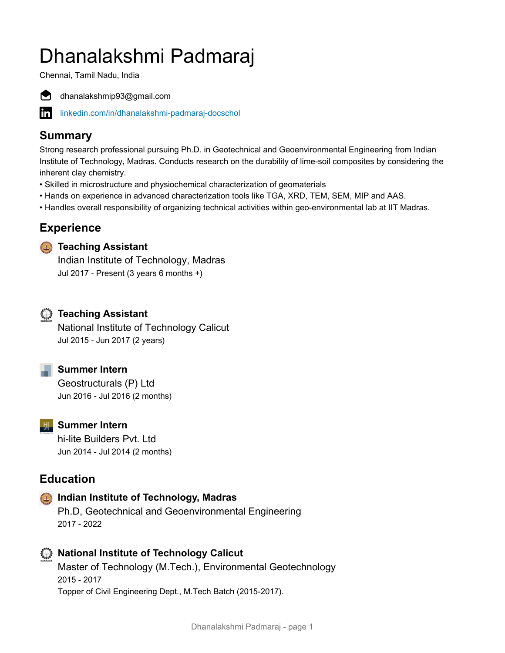# Dhanalakshmi Padmaraj

Chennai, Tamil Nadu, India



dhanalakshmip93@gmail.com

inl [linkedin.com/in/dhanalakshmi-padmaraj-docschol](https://www.linkedin.com/in/dhanalakshmi-padmaraj-docschol)

# **Summary**

Strong research professional pursuing Ph.D. in Geotechnical and Geoenvironmental Engineering from Indian Institute of Technology, Madras. Conducts research on the durability of lime-soil composites by considering the inherent clay chemistry.

- Skilled in microstructure and physiochemical characterization of geomaterials
- Hands on experience in advanced characterization tools like TGA, XRD, TEM, SEM, MIP and AAS.
- Handles overall responsibility of organizing technical activities within geo-environmental lab at IIT Madras.

# **Experience**

#### **Teaching Assistant**

Indian Institute of Technology, Madras Jul 2017 - Present (3 years 6 months +)

# **Teaching Assistant**

National Institute of Technology Calicut Jul 2015 - Jun 2017 (2 years)

**Summer Intern**

Geostructurals (P) Ltd Jun 2016 - Jul 2016 (2 months)

# **W** Summer Intern

hi-lite Builders Pvt. Ltd Jun 2014 - Jul 2014 (2 months)

# **Education**

#### **Indian Institute of Technology, Madras**

Ph.D, Geotechnical and Geoenvironmental Engineering 2017 - 2022

# **National Institute of Technology Calicut**

Master of Technology (M.Tech.), Environmental Geotechnology 2015 - 2017 Topper of Civil Engineering Dept., M.Tech Batch (2015-2017).